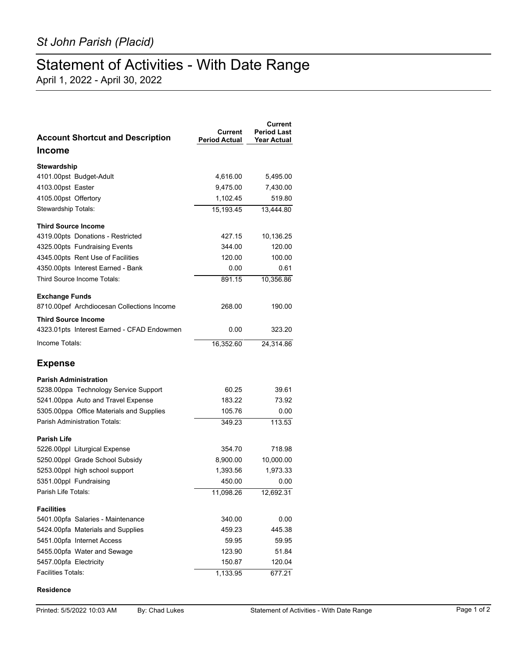## Statement of Activities - With Date Range

April 1, 2022 - April 30, 2022

| <b>Account Shortcut and Description</b>    | Current<br><b>Period Actual</b> | Current<br><b>Period Last</b><br><b>Year Actual</b> |
|--------------------------------------------|---------------------------------|-----------------------------------------------------|
| Income                                     |                                 |                                                     |
| Stewardship                                |                                 |                                                     |
| 4101.00pst Budget-Adult                    | 4,616.00                        | 5,495.00                                            |
| 4103.00pst Easter                          | 9,475.00                        | 7,430.00                                            |
| 4105.00pst Offertory                       | 1,102.45                        | 519.80                                              |
| Stewardship Totals:                        | 15,193.45                       | 13,444.80                                           |
| <b>Third Source Income</b>                 |                                 |                                                     |
| 4319.00pts Donations - Restricted          | 427.15                          | 10,136.25                                           |
| 4325.00pts Fundraising Events              | 344.00                          | 120.00                                              |
| 4345.00pts Rent Use of Facilities          | 120.00                          | 100.00                                              |
| 4350.00pts Interest Earned - Bank          | 0.00                            | 0.61                                                |
| Third Source Income Totals:                | 891.15                          | 10,356.86                                           |
| <b>Exchange Funds</b>                      |                                 |                                                     |
| 8710.00pef Archdiocesan Collections Income | 268.00                          | 190.00                                              |
| <b>Third Source Income</b>                 |                                 |                                                     |
| 4323.01pts Interest Earned - CFAD Endowmen | 0.00                            | 323.20                                              |
| Income Totals:                             | 16,352.60                       | 24.314.86                                           |
| <b>Expense</b>                             |                                 |                                                     |
| <b>Parish Administration</b>               |                                 |                                                     |
| 5238.00ppa Technology Service Support      | 60.25                           | 39.61                                               |
| 5241.00ppa Auto and Travel Expense         | 183.22                          | 73.92                                               |
| 5305.00ppa Office Materials and Supplies   | 105.76                          | 0.00                                                |
| <b>Parish Administration Totals:</b>       | 349.23                          | 113.53                                              |
| <b>Parish Life</b>                         |                                 |                                                     |
| 5226.00ppl Liturgical Expense              | 354.70                          | 718.98                                              |
| 5250.00ppl Grade School Subsidy            | 8,900.00                        | 10,000.00                                           |
| 5253.00ppl high school support             | 1,393.56                        | 1,973.33                                            |
| 5351.00ppl Fundraising                     | 450.00                          | 0.00                                                |
| Parish Life Totals:                        | 11,098.26                       | 12,692.31                                           |
| <b>Facilities</b>                          |                                 |                                                     |
| 5401.00pfa Salaries - Maintenance          | 340.00                          | 0.00                                                |
| 5424.00pfa Materials and Supplies          | 459.23                          | 445.38                                              |
| 5451.00pfa Internet Access                 | 59.95                           | 59.95                                               |
| 5455.00pfa Water and Sewage                | 123.90                          | 51.84                                               |
| 5457.00pfa Electricity                     | 150.87                          | 120.04                                              |
| <b>Facilities Totals:</b>                  | 1,133.95                        | 677.21                                              |

## **Residence**